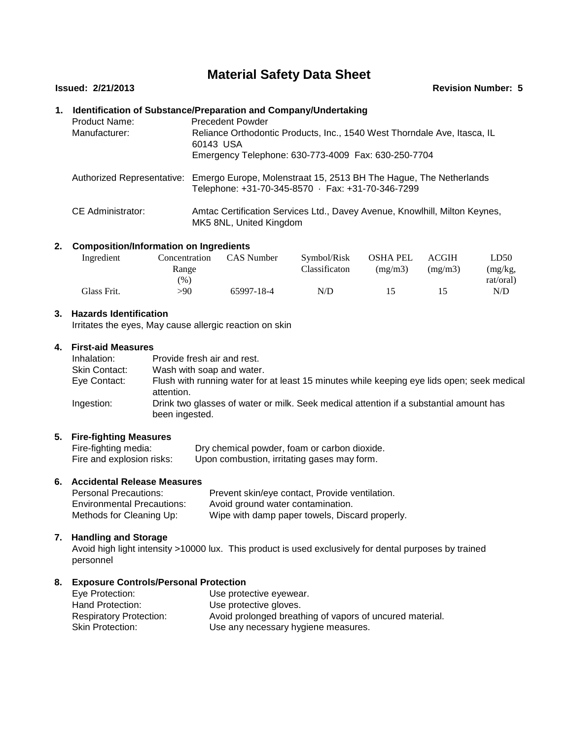### **Material Safety Data Sheet**

#### **Issued: 2/21/2013 Revision Number: 5**

#### **1. Identification of Substance/Preparation and Company/Undertaking**

| <b>Product Name:</b><br>Manufacturer: | <b>Precedent Powder</b><br>Reliance Orthodontic Products, Inc., 1540 West Thorndale Ave, Itasca, IL<br>60143 USA<br>Emergency Telephone: 630-773-4009 Fax: 630-250-7704 |
|---------------------------------------|-------------------------------------------------------------------------------------------------------------------------------------------------------------------------|
|                                       | Authorized Representative: Emergo Europe, Molenstraat 15, 2513 BH The Hague, The Netherlands<br>Telephone: +31-70-345-8570 · Fax: +31-70-346-7299                       |
| CE Administrator:                     | Amtac Certification Services Ltd., Davey Avenue, Knowlhill, Milton Keynes,<br>MK5 8NL, United Kingdom                                                                   |

#### **2. Composition/Information on Ingredients**

| Ingredient  | Concentration | <b>CAS</b> Number | Symbol/Risk   | <b>OSHA PEL</b> | <b>ACGIH</b> | LD50      |  |
|-------------|---------------|-------------------|---------------|-----------------|--------------|-----------|--|
|             | Range         |                   | Classificaton | (mg/m3)         | (mg/m3)      | (mg/kg,   |  |
|             | (%)           |                   |               |                 |              | rat/oral) |  |
| Glass Frit. | >90           | 65997-18-4        | N/D           |                 |              | N/D       |  |

#### **3. Hazards Identification**

Irritates the eyes, May cause allergic reaction on skin

#### **4. First-aid Measures**

| Inhalation:          | Provide fresh air and rest.                                                                              |
|----------------------|----------------------------------------------------------------------------------------------------------|
| <b>Skin Contact:</b> | Wash with soap and water.                                                                                |
| Eye Contact:         | Flush with running water for at least 15 minutes while keeping eye lids open; seek medical<br>attention. |
| Ingestion:           | Drink two glasses of water or milk. Seek medical attention if a substantial amount has<br>been ingested. |

# **5. Fire-fighting Measures**

Fire-fighting media: Dry chemical powder, foam or carbon dioxide.<br>Fire and explosion risks: Upon combustion, irritating gases may form. Upon combustion, irritating gases may form.

#### **6. Accidental Release Measures**

| <b>Personal Precautions:</b>      | Prevent skin/eye contact, Provide ventilation. |
|-----------------------------------|------------------------------------------------|
| <b>Environmental Precautions:</b> | Avoid ground water contamination.              |
| Methods for Cleaning Up:          | Wipe with damp paper towels, Discard properly. |

#### **7. Handling and Storage**

Avoid high light intensity >10000 lux. This product is used exclusively for dental purposes by trained personnel

#### **8. Exposure Controls/Personal Protection**

| Eye Protection:                | Use protective eyewear.                                  |
|--------------------------------|----------------------------------------------------------|
| Hand Protection:               | Use protective gloves.                                   |
| <b>Respiratory Protection:</b> | Avoid prolonged breathing of vapors of uncured material. |
| <b>Skin Protection:</b>        | Use any necessary hygiene measures.                      |